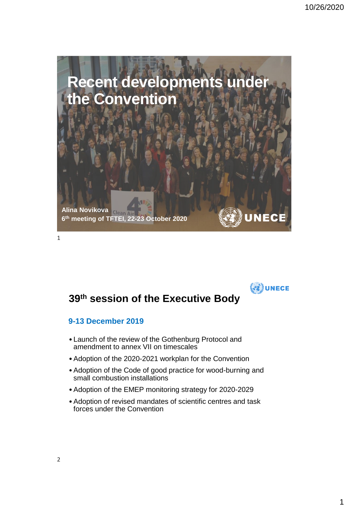



# **39th session of the Executive Body**

### **9-13 December 2019**

- Launch of the review of the Gothenburg Protocol and amendment to annex VII on timescales
- •Adoption of the 2020-2021 workplan for the Convention
- •Adoption of the Code of good practice for wood-burning and small combustion installations
- •Adoption of the EMEP monitoring strategy for 2020-2029
- •Adoption of revised mandates of scientific centres and task forces under the Convention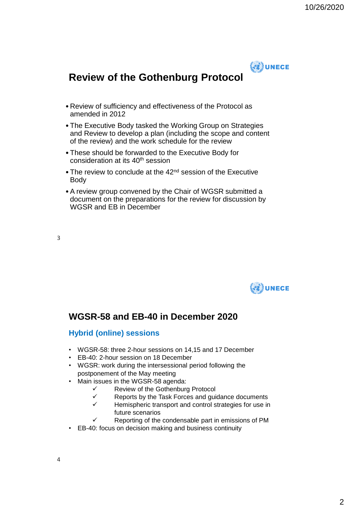

# **Review of the Gothenburg Protocol**

- Review of sufficiency and effectiveness of the Protocol as amended in 2012
- The Executive Body tasked the Working Group on Strategies and Review to develop a plan (including the scope and content of the review) and the work schedule for the review
- These should be forwarded to the Executive Body for consideration at its 40th session
- The review to conclude at the 42<sup>nd</sup> session of the Executive Body
- •A review group convened by the Chair of WGSR submitted a document on the preparations for the review for discussion by WGSR and EB in December

3



### **WGSR-58 and EB-40 in December 2020**

#### **Hybrid (online) sessions**

- WGSR-58: three 2-hour sessions on 14,15 and 17 December
- EB-40: 2-hour session on 18 December
- WGSR: work during the intersessional period following the postponement of the May meeting
- Main issues in the WGSR-58 agenda:
	- ✓ Review of the Gothenburg Protocol
	- ✓ Reports by the Task Forces and guidance documents
	- ✓ Hemispheric transport and control strategies for use in future scenarios
	- Reporting of the condensable part in emissions of PM
- EB-40: focus on decision making and business continuity